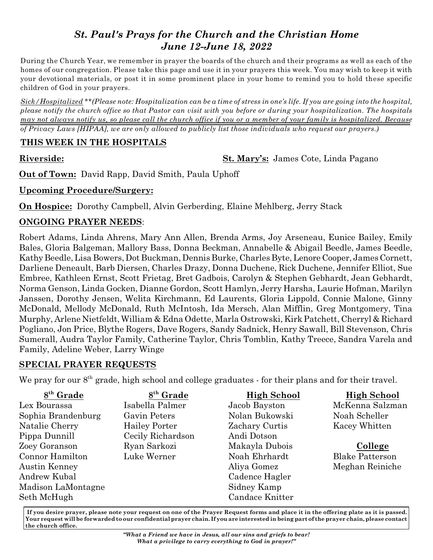# *St. Paul's Prays for the Church and the Christian Home June 12-June 18, 2022*

During the Church Year, we remember in prayer the boards of the church and their programs as well as each of the homes of our congregation. Please take this page and use it in your prayers this week. You may wish to keep it with your devotional materials, or post it in some prominent place in your home to remind you to hold these specific children of God in your prayers.

*Sick/Hospitalized \*\*(Please note: Hospitalization can be a time of stress in one's life. If you are going into the hospital, please notify the church office so that Pastor can visit with you before or during your hospitalization. The hospitals may not always notify us, so please call the church office if you or a member of your family is hospitalized. Because of Privacy Laws [HIPAA], we are only allowed to publicly list those individuals who request our prayers.)*

#### **THIS WEEK IN THE HOSPITALS**

**Riverside: St. Mary's:** James Cote, Linda Pagano

**Out of Town:** David Rapp, David Smith, Paula Uphoff

### **Upcoming Procedure/Surgery:**

**On Hospice:** Dorothy Campbell, Alvin Gerberding, Elaine Mehlberg, Jerry Stack

## **ONGOING PRAYER NEEDS**:

Robert Adams, Linda Ahrens, Mary Ann Allen, Brenda Arms, Joy Arseneau, Eunice Bailey, Emily Bales, Gloria Balgeman, Mallory Bass, Donna Beckman, Annabelle & Abigail Beedle, James Beedle, Kathy Beedle, Lisa Bowers, Dot Buckman, Dennis Burke, Charles Byte, Lenore Cooper, James Cornett, Darliene Deneault, Barb Diersen, Charles Drazy, Donna Duchene, Rick Duchene, Jennifer Elliot, Sue Embree, Kathleen Ernst, Scott Frietag, Bret Gadbois, Carolyn & Stephen Gebhardt, Jean Gebhardt, Norma Genson, Linda Gocken, Dianne Gordon, Scott Hamlyn, Jerry Harsha, Laurie Hofman, Marilyn Janssen, Dorothy Jensen, Welita Kirchmann, Ed Laurents, Gloria Lippold, Connie Malone, Ginny McDonald, Mellody McDonald, Ruth McIntosh, Ida Mersch, Alan Mifflin, Greg Montgomery, Tina Murphy, Arlene Nietfeldt, William & Edna Odette, Marla Ostrowski, Kirk Patchett, Cherryl & Richard Pogliano, Jon Price, Blythe Rogers, Dave Rogers, Sandy Sadnick, Henry Sawall, Bill Stevenson, Chris Sumerall, Audra Taylor Family, Catherine Taylor, Chris Tomblin, Kathy Treece, Sandra Varela and Family, Adeline Weber, Larry Winge

## **SPECIAL PRAYER REQUESTS**

We pray for our  $8<sup>th</sup>$  grade, high school and college graduates - for their plans and for their travel.

| $8th$ Grade        | 8 <sup>th</sup> Grade | <b>High School</b> | <b>High School</b>     |
|--------------------|-----------------------|--------------------|------------------------|
| Lex Bourassa       | Isabella Palmer       | Jacob Bayston      | McKenna Salzman        |
| Sophia Brandenburg | Gavin Peters          | Nolan Bukowski     | Noah Scheller          |
| Natalie Cherry     | <b>Hailey Porter</b>  | Zachary Curtis     | Kacey Whitten          |
| Pippa Dunnill      | Cecily Richardson     | Andi Dotson        |                        |
| Zoey Goranson      | Ryan Sarkozi          | Makayla Dubois     | College                |
| Connor Hamilton    | Luke Werner           | Noah Ehrhardt      | <b>Blake Patterson</b> |
| Austin Kenney      |                       | Aliya Gomez        | Meghan Reiniche        |
| Andrew Kubal       |                       | Cadence Hagler     |                        |
| Madison LaMontagne |                       | Sidney Kamp        |                        |
| Seth McHugh        |                       | Candace Knitter    |                        |

 **If you desire prayer, please note your request on one of the Prayer Request forms and place it in the offering plate as it is passed. Your request will be forwarded to our confidential prayer chain. If you are interested in being part of the prayer chain, please contact the church office.**